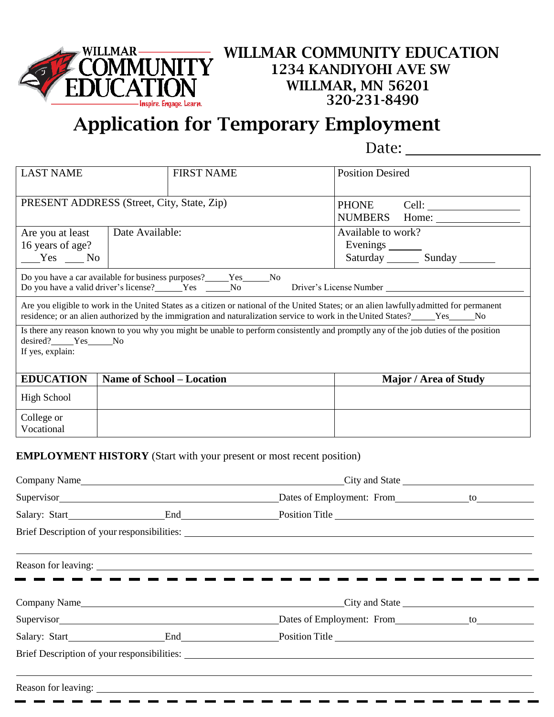

## **Application for Temporary Employment**

Date:

| <b>LAST NAME</b>                                                                             |                                  | <b>FIRST NAME</b>                                                           | <b>Position Desired</b>                                                                                                                                                                                                                                                  |  |  |  |  |
|----------------------------------------------------------------------------------------------|----------------------------------|-----------------------------------------------------------------------------|--------------------------------------------------------------------------------------------------------------------------------------------------------------------------------------------------------------------------------------------------------------------------|--|--|--|--|
| PRESENT ADDRESS (Street, City, State, Zip)                                                   |                                  |                                                                             |                                                                                                                                                                                                                                                                          |  |  |  |  |
| Are you at least<br>16 years of age?<br>$Yes$ No                                             | Date Available:                  |                                                                             | Available to work?<br>Evenings ________<br>Saturday Sunday                                                                                                                                                                                                               |  |  |  |  |
| Do you have a car available for business purposes?_____Yes_____No<br>Driver's License Number |                                  |                                                                             |                                                                                                                                                                                                                                                                          |  |  |  |  |
|                                                                                              |                                  |                                                                             | Are you eligible to work in the United States as a citizen or national of the United States; or an alien lawfully admitted for permanent<br>residence; or an alien authorized by the immigration and naturalization service to work in the United States?_____Yes_____No |  |  |  |  |
| desired? Yes No<br>If yes, explain:                                                          |                                  |                                                                             | Is there any reason known to you why you might be unable to perform consistently and promptly any of the job duties of the position                                                                                                                                      |  |  |  |  |
| <b>EDUCATION</b>                                                                             | <b>Name of School – Location</b> |                                                                             | Major / Area of Study                                                                                                                                                                                                                                                    |  |  |  |  |
| <b>High School</b>                                                                           |                                  |                                                                             |                                                                                                                                                                                                                                                                          |  |  |  |  |
| College or<br>Vocational                                                                     |                                  |                                                                             |                                                                                                                                                                                                                                                                          |  |  |  |  |
|                                                                                              |                                  | <b>EMPLOYMENT HISTORY</b> (Start with your present or most recent position) |                                                                                                                                                                                                                                                                          |  |  |  |  |
| Company Name                                                                                 |                                  |                                                                             | City and State                                                                                                                                                                                                                                                           |  |  |  |  |

|  | Reason for leaving: 1988. The contract of the contract of the contract of the contract of the contract of the contract of the contract of the contract of the contract of the contract of the contract of the contract of the |  |
|--|-------------------------------------------------------------------------------------------------------------------------------------------------------------------------------------------------------------------------------|--|
|  |                                                                                                                                                                                                                               |  |
|  |                                                                                                                                                                                                                               |  |
|  | Salary: Start End Position Title                                                                                                                                                                                              |  |
|  |                                                                                                                                                                                                                               |  |
|  |                                                                                                                                                                                                                               |  |
|  |                                                                                                                                                                                                                               |  |